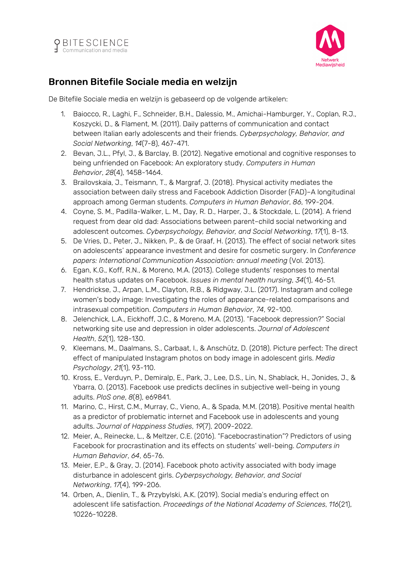



## Bronnen Bitefile Sociale media en welzijn

De Bitefile Sociale media en welzijn is gebaseerd op de volgende artikelen:

- 1. Baiocco, R., Laghi, F., Schneider, B.H., Dalessio, M., Amichai-Hamburger, Y., Coplan, R.J., Koszycki, D., & Flament, M. (2011). Daily patterns of communication and contact between Italian early adolescents and their friends. *Cyberpsychology, Behavior, and Social Networking*, *14*(7-8), 467-471.
- 2. Bevan, J.L., Pfyl, J., & Barclay, B. (2012). Negative emotional and cognitive responses to being unfriended on Facebook: An exploratory study. *Computers in Human Behavior*, *28*(4), 1458-1464.
- 3. Brailovskaia, J., Teismann, T., & Margraf, J. (2018). Physical activity mediates the association between daily stress and Facebook Addiction Disorder (FAD)–A longitudinal approach among German students. *Computers in Human Behavior*, *86*, 199-204.
- 4. Coyne, S. M., Padilla-Walker, L. M., Day, R. D., Harper, J., & Stockdale, L. (2014). A friend request from dear old dad: Associations between parent–child social networking and adolescent outcomes. *Cyberpsychology, Behavior, and Social Networking*, *17*(1), 8-13.
- 5. De Vries, D., Peter, J., Nikken, P., & de Graaf, H. (2013). The effect of social network sites on adolescents' appearance investment and desire for cosmetic surgery. In *Conference papers: International Communication Association: annual meeting* (Vol. 2013).
- 6. Egan, K.G., Koff, R.N., & Moreno, M.A. (2013). College students' responses to mental health status updates on Facebook. *Issues in mental health nursing*, *34*(1), 46-51.
- 7. Hendrickse, J., Arpan, L.M., Clayton, R.B., & Ridgway, J.L. (2017). Instagram and college women's body image: Investigating the roles of appearance-related comparisons and intrasexual competition. *Computers in Human Behavior*, *74*, 92-100.
- 8. Jelenchick, L.A., Eickhoff, J.C., & Moreno, M.A. (2013). "Facebook depression?" Social networking site use and depression in older adolescents. *Journal of Adolescent Health*, *52*(1), 128-130.
- 9. Kleemans, M., Daalmans, S., Carbaat, I., & Anschütz, D. (2018). Picture perfect: The direct effect of manipulated Instagram photos on body image in adolescent girls. *Media Psychology*, *21*(1), 93-110.
- 10. Kross, E., Verduyn, P., Demiralp, E., Park, J., Lee, D.S., Lin, N., Shablack, H., Jonides, J., & Ybarra, O. (2013). Facebook use predicts declines in subjective well-being in young adults. *PloS one*, *8*(8), e69841.
- 11. Marino, C., Hirst, C.M., Murray, C., Vieno, A., & Spada, M.M. (2018). Positive mental health as a predictor of problematic internet and Facebook use in adolescents and young adults. *Journal of Happiness Studies*, *19*(7), 2009-2022.
- 12. Meier, A., Reinecke, L., & Meltzer, C.E. (2016). "Facebocrastination"? Predictors of using Facebook for procrastination and its effects on students' well-being. *Computers in Human Behavior*, *64*, 65-76.
- 13. Meier, E.P., & Gray, J. (2014). Facebook photo activity associated with body image disturbance in adolescent girls. *Cyberpsychology, Behavior, and Social Networking*, *17*(4), 199-206.
- 14. Orben, A., Dienlin, T., & Przybylski, A.K. (2019). Social media's enduring effect on adolescent life satisfaction. *Proceedings of the National Academy of Sciences*, *116*(21), 10226-10228.